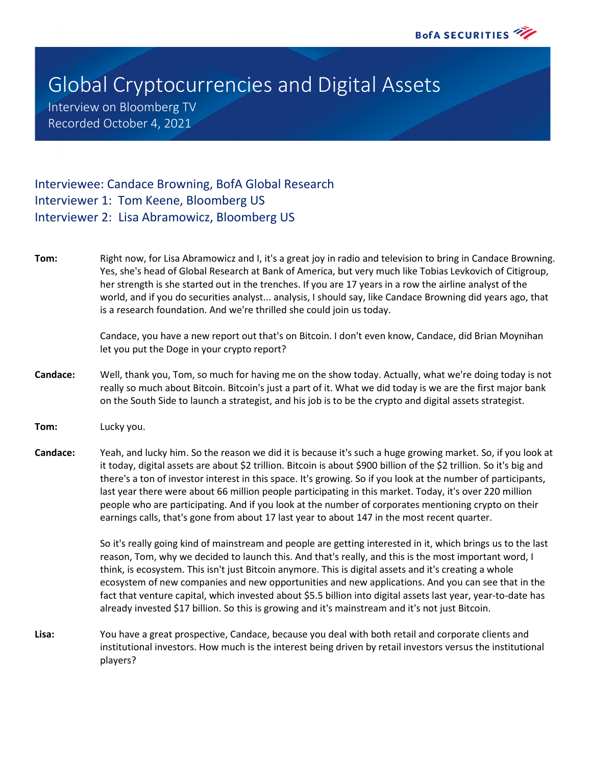## Global Cryptocurrencies and Digital Assets

Interview on Bloomberg TV Recorded October 4, 2021

## Interviewee: Candace Browning, BofA Global Research Interviewer 1: Tom Keene, Bloomberg US Interviewer 2: Lisa Abramowicz, Bloomberg US

**Tom:** Right now, for Lisa Abramowicz and I, it's a great joy in radio and television to bring in Candace Browning. Yes, she's head of Global Research at Bank of America, but very much like Tobias Levkovich of Citigroup, her strength is she started out in the trenches. If you are 17 years in a row the airline analyst of the world, and if you do securities analyst... analysis, I should say, like Candace Browning did years ago, that is a research foundation. And we're thrilled she could join us today.

> Candace, you have a new report out that's on Bitcoin. I don't even know, Candace, did Brian Moynihan let you put the Doge in your crypto report?

- **Candace:** Well, thank you, Tom, so much for having me on the show today. Actually, what we're doing today is not really so much about Bitcoin. Bitcoin's just a part of it. What we did today is we are the first major bank on the South Side to launch a strategist, and his job is to be the crypto and digital assets strategist.
- **Tom:** Lucky you.
- **Candace:** Yeah, and lucky him. So the reason we did it is because it's such a huge growing market. So, if you look at it today, digital assets are about \$2 trillion. Bitcoin is about \$900 billion of the \$2 trillion. So it's big and there's a ton of investor interest in this space. It's growing. So if you look at the number of participants, last year there were about 66 million people participating in this market. Today, it's over 220 million people who are participating. And if you look at the number of corporates mentioning crypto on their earnings calls, that's gone from about 17 last year to about 147 in the most recent quarter.

So it's really going kind of mainstream and people are getting interested in it, which brings us to the last reason, Tom, why we decided to launch this. And that's really, and this is the most important word, I think, is ecosystem. This isn't just Bitcoin anymore. This is digital assets and it's creating a whole ecosystem of new companies and new opportunities and new applications. And you can see that in the fact that venture capital, which invested about \$5.5 billion into digital assets last year, year-to-date has already invested \$17 billion. So this is growing and it's mainstream and it's not just Bitcoin.

**Lisa:** You have a great prospective, Candace, because you deal with both retail and corporate clients and institutional investors. How much is the interest being driven by retail investors versus the institutional players?